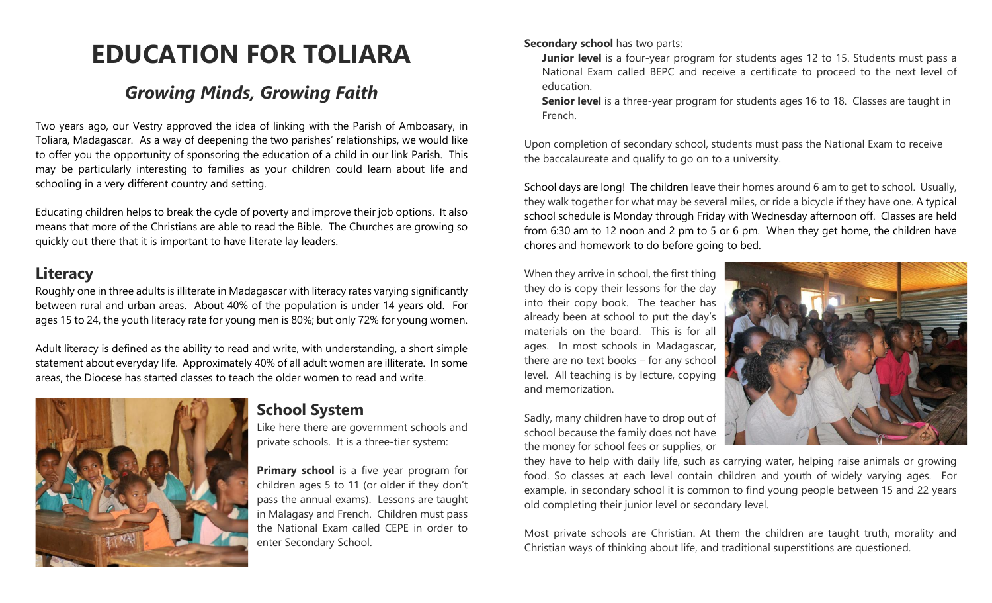# **EDUCATION FOR TOLIARA**

# *Growing Minds, Growing Faith*

Two years ago, our Vestry approved the idea of linking with the Parish of Amboasary, in Toliara, Madagascar. As a way of deepening the two parishes' relationships, we would like to offer you the opportunity of sponsoring the education of a child in our link Parish. This may be particularly interesting to families as your children could learn about life and schooling in a very different country and setting.

Educating children helps to break the cycle of poverty and improve their job options. It also means that more of the Christians are able to read the Bible. The Churches are growing so quickly out there that it is important to have literate lay leaders.

#### **Literacy**

Roughly one in three adults is illiterate in Madagascar with literacy rates varying significantly between rural and urban areas. About 40% of the population is under 14 years old. For ages 15 to 24, the youth literacy rate for young men is 80%; but only 72% for young women.

Adult literacy is defined as the ability to read and write, with understanding, a short simple statement about everyday life. Approximately 40% of all adult women are illiterate. In some areas, the Diocese has started classes to teach the older women to read and write.



#### **School System**

Like here there are government schools and private schools. It is a three-tier system:

**Primary school** is a five year program for children ages 5 to 11 (or older if they don't pass the annual exams). Lessons are taught in Malagasy and French. Children must pass the National Exam called CEPE in order to enter Secondary School.

#### **Secondary school** has two parts:

**Junior level** is a four-year program for students ages 12 to 15. Students must pass a National Exam called BEPC and receive a certificate to proceed to the next level of education.

**Senior level** is a three-year program for students ages 16 to 18. Classes are taught in French.

Upon completion of secondary school, students must pass the National Exam to receive the baccalaureate and qualify to go on to a university.

School days are long!The children leave their homes around 6 am to get to school. Usually, they walk together for what may be several miles, or ride a bicycle if they have one. A typical school schedule is Monday through Friday with Wednesday afternoon off. Classes are held from 6:30 am to 12 noon and 2 pm to 5 or 6 pm. When they get home, the children have chores and homework to do before going to bed.

When they arrive in school, the first thing they do is copy their lessons for the day into their copy book. The teacher has already been at school to put the day's materials on the board. This is for all ages. In most schools in Madagascar, there are no text books – for any school level. All teaching is by lecture, copying and memorization.

Sadly, many children have to drop out of school because the family does not have the money for school fees or supplies, or



they have to help with daily life, such as carrying water, helping raise animals or growing food. So classes at each level contain children and youth of widely varying ages. For example, in secondary school it is common to find young people between 15 and 22 years old completing their junior level or secondary level.

Most private schools are Christian. At them the children are taught truth, morality and Christian ways of thinking about life, and traditional superstitions are questioned.